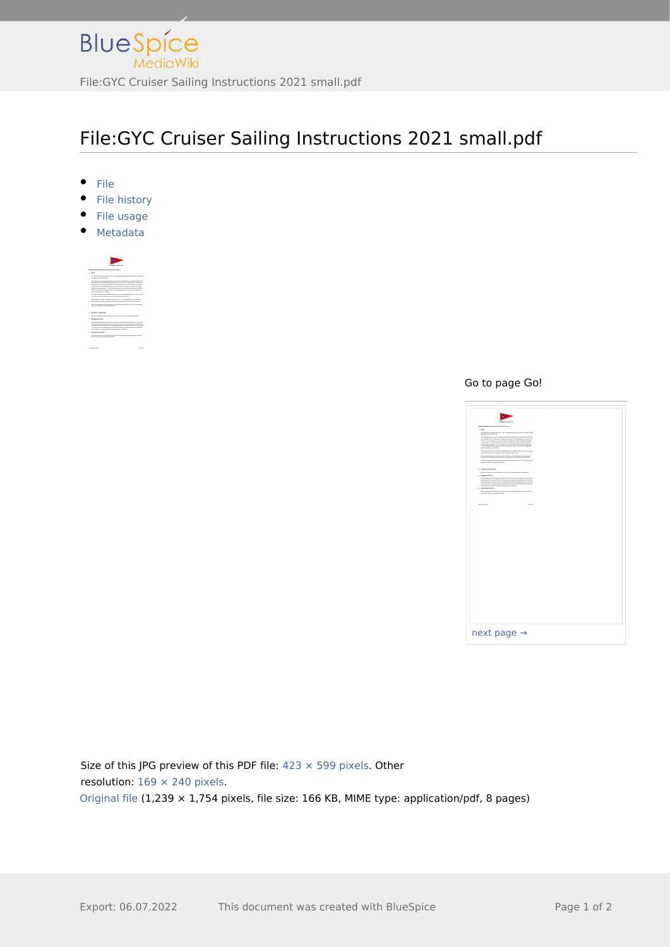

# File:GYC Cruiser Sailing Instructions 2021 small.pdf

- $•$  File
- File history
- File usage
- <span id="page-0-0"></span>Metadata



#### Go to page Go!

| File                                                                                                  |                         |
|-------------------------------------------------------------------------------------------------------|-------------------------|
| File history                                                                                          |                         |
| File usage                                                                                            |                         |
| Metadata                                                                                              |                         |
|                                                                                                       |                         |
|                                                                                                       |                         |
|                                                                                                       |                         |
|                                                                                                       |                         |
|                                                                                                       |                         |
|                                                                                                       |                         |
|                                                                                                       |                         |
|                                                                                                       |                         |
|                                                                                                       | Go to page Go!          |
|                                                                                                       |                         |
|                                                                                                       |                         |
|                                                                                                       |                         |
|                                                                                                       |                         |
|                                                                                                       |                         |
|                                                                                                       |                         |
|                                                                                                       |                         |
|                                                                                                       |                         |
|                                                                                                       |                         |
|                                                                                                       |                         |
|                                                                                                       |                         |
|                                                                                                       |                         |
|                                                                                                       |                         |
|                                                                                                       | next page $\rightarrow$ |
|                                                                                                       |                         |
|                                                                                                       |                         |
|                                                                                                       |                         |
|                                                                                                       |                         |
|                                                                                                       |                         |
|                                                                                                       |                         |
|                                                                                                       |                         |
| ze of this JPG preview of this PDF file: $423 \times 599$ pixels. Other<br>colution: 169 x 240 nivels |                         |

 $\frac{1}{\pi}$ <br>Signal matrices this preview of this PDF file: 423  $\times$  599 pixels. Other<br>Solution: 169  $\times$  240 pixels sisted of this JPG preview of this PDF file: 423<br>solution:  $169 \times 240$  pixels.<br>igninal file (1.239  $\times$  1.754 nivels, file size: Size of this JPG preview of this PDF file:  $423 \times 599$  pixels. Other resolution:  $169 \times 240$  pixels. sisted three is a state of the state of the state of the state of the state of the state of the state of the state of the state of the state of the state of the state of the state of the state of the state of the state of [Original file](http://www.greenwichyachtclub.co.uk/w/images/a/af/GYC_Cruiser_Sailing_Instructions_2021_small.pdf) (1,239 × 1,754 pixels, file size: 166 KB, MIME type: application/pdf, 8 pages)